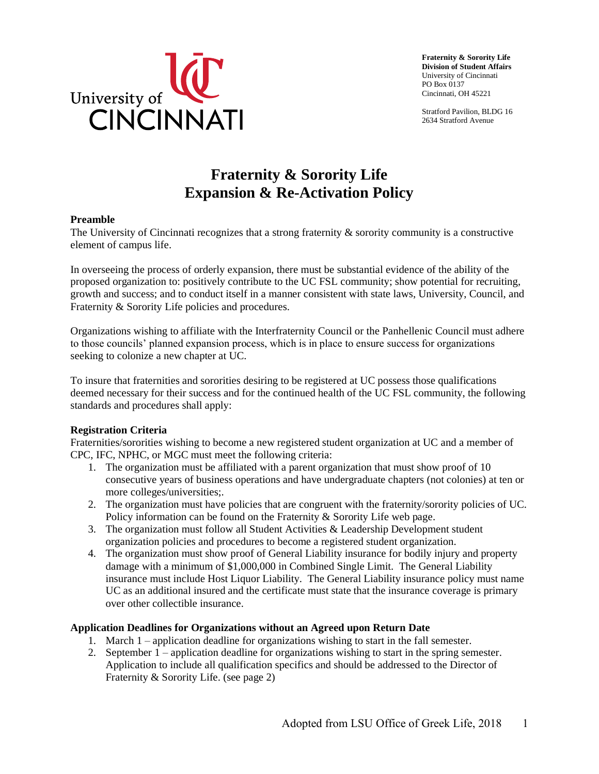

**Fraternity & Sorority Life Division of Student Affairs**  University of Cincinnati PO Box 0137 Cincinnati, OH 45221

Stratford Pavilion, BLDG 16 2634 Stratford Avenue

## **Fraternity & Sorority Life Expansion & Re-Activation Policy**

### **Preamble**

The University of Cincinnati recognizes that a strong fraternity & sorority community is a constructive element of campus life.

In overseeing the process of orderly expansion, there must be substantial evidence of the ability of the proposed organization to: positively contribute to the UC FSL community; show potential for recruiting, growth and success; and to conduct itself in a manner consistent with state laws, University, Council, and Fraternity & Sorority Life policies and procedures.

 seeking to colonize a new chapter at UC. Organizations wishing to affiliate with the Interfraternity Council or the Panhellenic Council must adhere to those councils' planned expansion process, which is in place to ensure success for organizations

To insure that fraternities and sororities desiring to be registered at UC possess those qualifications deemed necessary for their success and for the continued health of the UC FSL community, the following standards and procedures shall apply:

#### **Registration Criteria**

 Fraternities/sororities wishing to become a new registered student organization at UC and a member of CPC, IFC, NPHC, or MGC must meet the following criteria:

- 1. The organization must be affiliated with a parent organization that must show proof of 10 consecutive years of business operations and have undergraduate chapters (not colonies) at ten or more colleges/universities;.
- 2. The organization must have policies that are congruent with the fraternity/sorority policies of UC. Policy information can be found on the Fraternity & Sorority Life web page.
- 3. The organization must follow all Student Activities & Leadership Development student organization policies and procedures to become a registered student organization.
- 4. The organization must show proof of General Liability insurance for bodily injury and property damage with a minimum of \$1,000,000 in Combined Single Limit. The General Liability insurance must include Host Liquor Liability. The General Liability insurance policy must name UC as an additional insured and the certificate must state that the insurance coverage is primary over other collectible insurance.

### **Application Deadlines for Organizations without an Agreed upon Return Date**

- 1. March 1 application deadline for organizations wishing to start in the fall semester.
- 2. September 1 application deadline for organizations wishing to start in the spring semester. Application to include all qualification specifics and should be addressed to the Director of Fraternity & Sorority Life. (see page 2)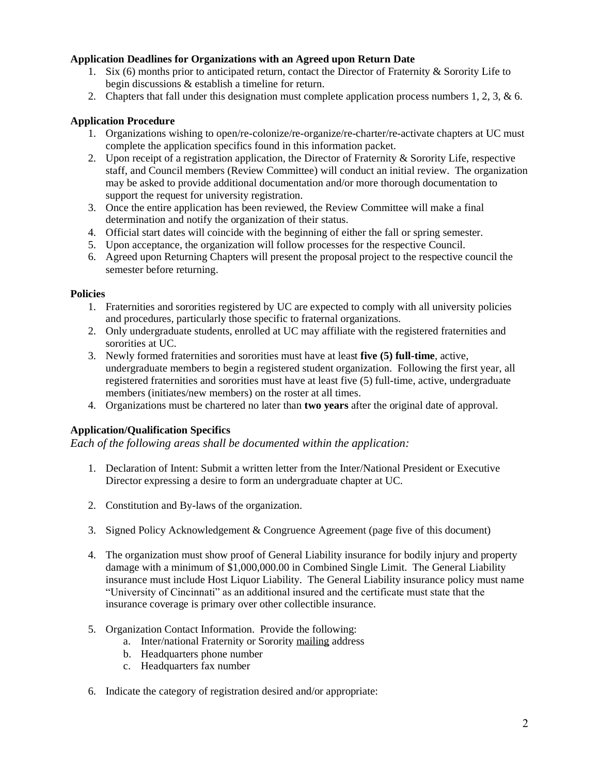### **Application Deadlines for Organizations with an Agreed upon Return Date**

- 1. Six (6) months prior to anticipated return, contact the Director of Fraternity & Sorority Life to begin discussions & establish a timeline for return.
- 2. Chapters that fall under this designation must complete application process numbers 1, 2, 3, & 6.

### **Application Procedure**

- 1. Organizations wishing to open/re-colonize/re-organize/re-charter/re-activate chapters at UC must complete the application specifics found in this information packet.
- 2. Upon receipt of a registration application, the Director of Fraternity & Sorority Life, respective staff, and Council members (Review Committee) will conduct an initial review. The organization may be asked to provide additional documentation and/or more thorough documentation to support the request for university registration.
- 3. Once the entire application has been reviewed, the Review Committee will make a final determination and notify the organization of their status.
- 4. Official start dates will coincide with the beginning of either the fall or spring semester.
- 5. Upon acceptance, the organization will follow processes for the respective Council.
- 6. Agreed upon Returning Chapters will present the proposal project to the respective council the semester before returning.

#### **Policies**

- 1. Fraternities and sororities registered by UC are expected to comply with all university policies and procedures, particularly those specific to fraternal organizations.
- 2. Only undergraduate students, enrolled at UC may affiliate with the registered fraternities and sororities at UC.
- 3. Newly formed fraternities and sororities must have at least **five (5) full-time**, active, undergraduate members to begin a registered student organization. Following the first year, all registered fraternities and sororities must have at least five (5) full-time, active, undergraduate members (initiates/new members) on the roster at all times.
- 4. Organizations must be chartered no later than **two years** after the original date of approval.

### **Application/Qualification Specifics**

*Each of the following areas shall be documented within the application:* 

- 1. Declaration of Intent: Submit a written letter from the Inter/National President or Executive Director expressing a desire to form an undergraduate chapter at UC.
- 2. Constitution and By-laws of the organization.
- 3. Signed Policy Acknowledgement & Congruence Agreement (page five of this document)
- 4. The organization must show proof of General Liability insurance for bodily injury and property damage with a minimum of [\\$1,000,000.00](https://1,000,000.00) in Combined Single Limit. The General Liability insurance must include Host Liquor Liability. The General Liability insurance policy must name "University of Cincinnati" as an additional insured and the certificate must state that the insurance coverage is primary over other collectible insurance.
- 5. Organization Contact Information. Provide the following:
	- a. Inter/national Fraternity or Sorority mailing address
	- b. Headquarters phone number
	- c. Headquarters fax number
- 6. Indicate the category of registration desired and/or appropriate: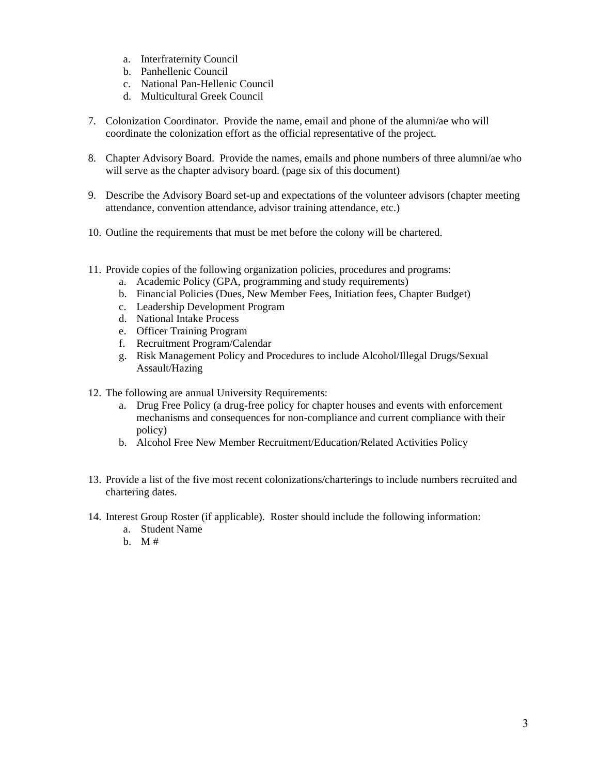- a. Interfraternity Council
- b. Panhellenic Council
- c. National Pan-Hellenic Council
- d. Multicultural Greek Council
- 7. Colonization Coordinator. Provide the name, email and phone of the alumni/ae who will coordinate the colonization effort as the official representative of the project.
- 8. Chapter Advisory Board. Provide the names, emails and phone numbers of three alumni/ae who will serve as the chapter advisory board. (page six of this document)
- 9. Describe the Advisory Board set-up and expectations of the volunteer advisors (chapter meeting attendance, convention attendance, advisor training attendance, etc.)
- 10. Outline the requirements that must be met before the colony will be chartered.
- 11. Provide copies of the following organization policies, procedures and programs:
	- a. Academic Policy (GPA, programming and study requirements)
	- b. Financial Policies (Dues, New Member Fees, Initiation fees, Chapter Budget)
	- c. Leadership Development Program
	- d. National Intake Process
	- e. Officer Training Program
	- f. Recruitment Program/Calendar
	- g. Risk Management Policy and Procedures to include Alcohol/Illegal Drugs/Sexual Assault/Hazing
- 12. The following are annual University Requirements:
	- a. Drug Free Policy (a drug-free policy for chapter houses and events with enforcement mechanisms and consequences for non-compliance and current compliance with their policy)
	- b. Alcohol Free New Member Recruitment/Education/Related Activities Policy
- 13. Provide a list of the five most recent colonizations/charterings to include numbers recruited and chartering dates.
- 14. Interest Group Roster (if applicable). Roster should include the following information:
	- a. Student Name
	- b.  $M#$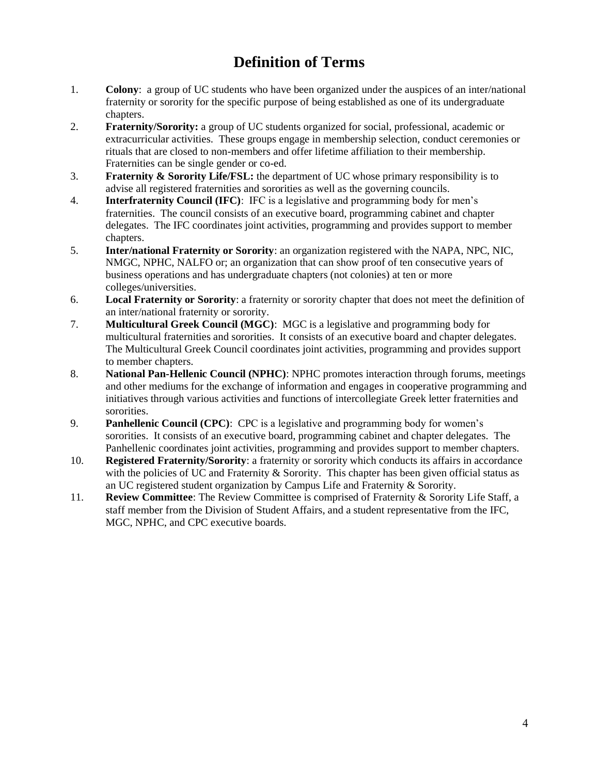# **Definition of Terms**

- 1. **Colony**: a group of UC students who have been organized under the auspices of an inter/national fraternity or sorority for the specific purpose of being established as one of its undergraduate chapters.
- 2. **Fraternity/Sorority:** a group of UC students organized for social, professional, academic or extracurricular activities. These groups engage in membership selection, conduct ceremonies or rituals that are closed to non-members and offer lifetime affiliation to their membership. Fraternities can be single gender or co-ed.
- 3. **Fraternity & Sorority Life/FSL:** the department of UC whose primary responsibility is to advise all registered fraternities and sororities as well as the governing councils.
- 4. **Interfraternity Council (IFC)**: IFC is a legislative and programming body for men's fraternities. The council consists of an executive board, programming cabinet and chapter delegates. The IFC coordinates joint activities, programming and provides support to member chapters.
- 5. **Inter/national Fraternity or Sorority**: an organization registered with the NAPA, NPC, NIC, NMGC, NPHC, NALFO or; an organization that can show proof of ten consecutive years of business operations and has undergraduate chapters (not colonies) at ten or more colleges/universities.
- 6. **Local Fraternity or Sorority**: a fraternity or sorority chapter that does not meet the definition of an inter/national fraternity or sorority.
- 7. **Multicultural Greek Council (MGC)**: MGC is a legislative and programming body for multicultural fraternities and sororities. It consists of an executive board and chapter delegates. The Multicultural Greek Council coordinates joint activities, programming and provides support to member chapters.
- 8. **National Pan-Hellenic Council (NPHC)**: NPHC promotes interaction through forums, meetings and other mediums for the exchange of information and engages in cooperative programming and initiatives through various activities and functions of intercollegiate Greek letter fraternities and sororities.
- 9. **Panhellenic Council (CPC)**: CPC is a legislative and programming body for women's sororities. It consists of an executive board, programming cabinet and chapter delegates. The Panhellenic coordinates joint activities, programming and provides support to member chapters.
- 10. **Registered Fraternity/Sorority**: a fraternity or sorority which conducts its affairs in accordance with the policies of UC and Fraternity  $&$  Sorority. This chapter has been given official status as an UC registered student organization by Campus Life and Fraternity & Sorority.
- 11. **Review Committee**: The Review Committee is comprised of Fraternity & Sorority Life Staff, a staff member from the Division of Student Affairs, and a student representative from the IFC, MGC, NPHC, and CPC executive boards.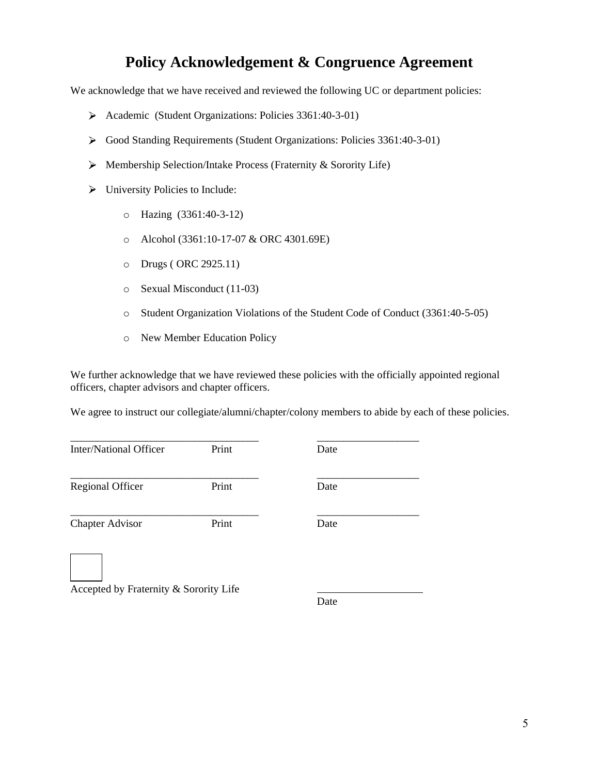### **Policy Acknowledgement & Congruence Agreement**

We acknowledge that we have received and reviewed the following UC or department policies:

- ► Academic (Student Organizations: Policies 3361:40-3-01)
- ► Good Standing Requirements (Student Organizations: Policies 3361:40-3-01)
- ► Membership Selection/Intake Process (Fraternity & Sorority Life)
- ► University Policies to Include:
	- o Hazing (3361:40-3-12)
	- o Alcohol (3361:10-17-07 & ORC 4301.69E)
	- o Drugs ( ORC 2925.11)
	- o Sexual Misconduct (11-03)
	- o Student Organization Violations of the Student Code of Conduct (3361:40-5-05)
	- o New Member Education Policy

We further acknowledge that we have reviewed these policies with the officially appointed regional officers, chapter advisors and chapter officers.

We agree to instruct our collegiate/alumni/chapter/colony members to abide by each of these policies.

| Inter/National Officer                 | Print | Date |
|----------------------------------------|-------|------|
| <b>Regional Officer</b>                | Print | Date |
| <b>Chapter Advisor</b>                 | Print | Date |
| Accepted by Fraternity & Sorority Life |       |      |

Date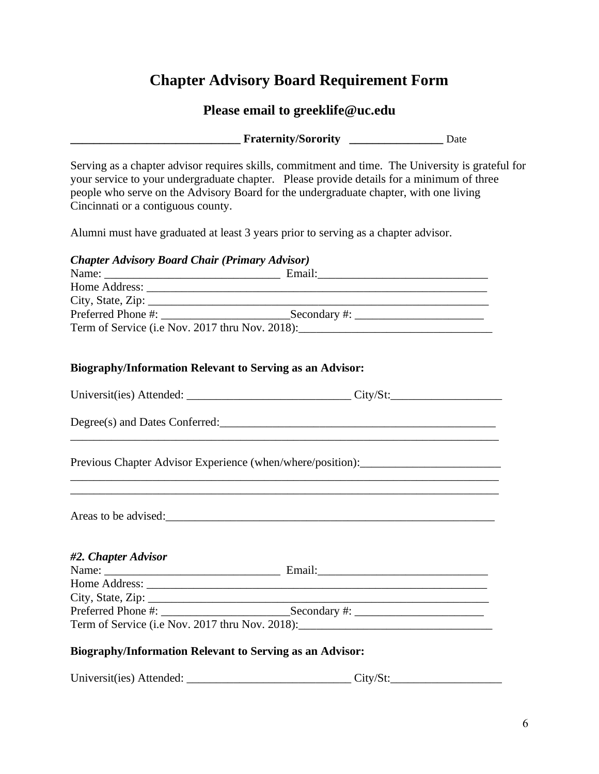# **Chapter Advisory Board Requirement Form**

# **Please email to [greeklife@uc.edu](mailto:greeklife@uc.edu)**

|                                                                                                                                                                                                                                                                                                                               | Fraternity/Sorority _________________ Date |  |
|-------------------------------------------------------------------------------------------------------------------------------------------------------------------------------------------------------------------------------------------------------------------------------------------------------------------------------|--------------------------------------------|--|
| Serving as a chapter advisor requires skills, commitment and time. The University is grateful for<br>your service to your undergraduate chapter. Please provide details for a minimum of three<br>people who serve on the Advisory Board for the undergraduate chapter, with one living<br>Cincinnati or a contiguous county. |                                            |  |
| Alumni must have graduated at least 3 years prior to serving as a chapter advisor.                                                                                                                                                                                                                                            |                                            |  |
| <b>Chapter Advisory Board Chair (Primary Advisor)</b>                                                                                                                                                                                                                                                                         |                                            |  |
|                                                                                                                                                                                                                                                                                                                               |                                            |  |
|                                                                                                                                                                                                                                                                                                                               |                                            |  |
|                                                                                                                                                                                                                                                                                                                               |                                            |  |
|                                                                                                                                                                                                                                                                                                                               |                                            |  |
| Biography/Information Relevant to Serving as an Advisor:                                                                                                                                                                                                                                                                      |                                            |  |
|                                                                                                                                                                                                                                                                                                                               |                                            |  |
|                                                                                                                                                                                                                                                                                                                               |                                            |  |
| Previous Chapter Advisor Experience (when/where/position):                                                                                                                                                                                                                                                                    |                                            |  |
| Areas to be advised: expression and the set of the set of the set of the set of the set of the set of the set of the set of the set of the set of the set of the set of the set of the set of the set of the set of the set of                                                                                                |                                            |  |
| #2. Chapter Advisor                                                                                                                                                                                                                                                                                                           |                                            |  |
|                                                                                                                                                                                                                                                                                                                               |                                            |  |
| City, State, Zip: $\overline{\phantom{a}}$                                                                                                                                                                                                                                                                                    |                                            |  |
|                                                                                                                                                                                                                                                                                                                               |                                            |  |
| Term of Service (i.e Nov. 2017 thru Nov. 2018): ________________________________                                                                                                                                                                                                                                              |                                            |  |
| <b>Biography/Information Relevant to Serving as an Advisor:</b>                                                                                                                                                                                                                                                               |                                            |  |
|                                                                                                                                                                                                                                                                                                                               |                                            |  |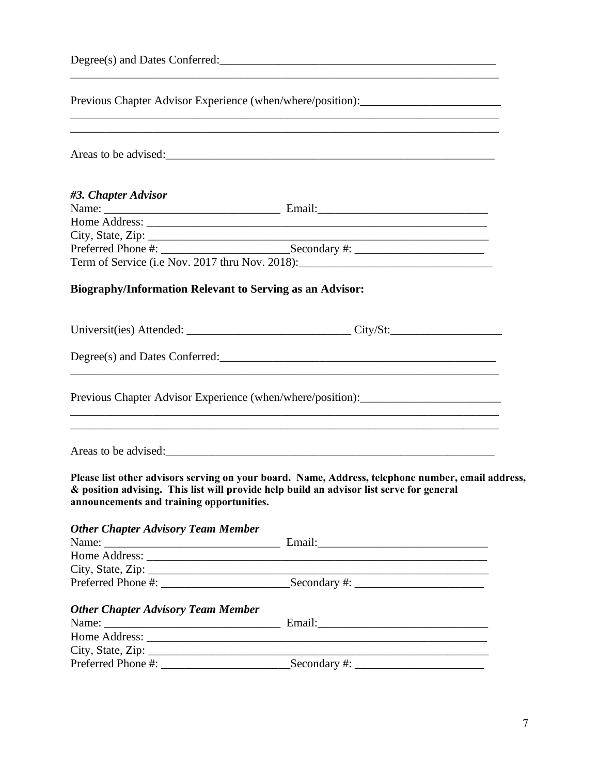|                                                                 | Previous Chapter Advisor Experience (when/where/position):______________________<br><u> 1989 - Jan James James James James James James James James James James James James James James James James J</u>                       |  |  |
|-----------------------------------------------------------------|--------------------------------------------------------------------------------------------------------------------------------------------------------------------------------------------------------------------------------|--|--|
|                                                                 | ,我们也不会有什么。""我们的人,我们也不会有什么?""我们的人,我们也不会有什么?""我们的人,我们也不会有什么?""我们的人,我们也不会有什么?""我们的人<br>Areas to be advised:                                                                                                                       |  |  |
| #3. Chapter Advisor                                             |                                                                                                                                                                                                                                |  |  |
|                                                                 |                                                                                                                                                                                                                                |  |  |
|                                                                 |                                                                                                                                                                                                                                |  |  |
|                                                                 | City, State, Zip: 2008. Experience of the State of Table 2008. The State of Table 2008. The State of Table 2008. The State of Table 2008. The State of Table 2008. The State of Table 2008. The State of Table 2008. The State |  |  |
|                                                                 | Term of Service (i.e Nov. 2017 thru Nov. 2018): _________________________________                                                                                                                                              |  |  |
|                                                                 |                                                                                                                                                                                                                                |  |  |
| <b>Biography/Information Relevant to Serving as an Advisor:</b> |                                                                                                                                                                                                                                |  |  |
|                                                                 | Universit(ies) Attended: __________________________________City/St:______________                                                                                                                                              |  |  |
|                                                                 |                                                                                                                                                                                                                                |  |  |
|                                                                 | Previous Chapter Advisor Experience (when/where/position):<br><u> 1989 - Johann Stoff, deutscher Stoffen und der Stoffen und der Stoffen und der Stoffen und der Stoffen und de</u>                                            |  |  |
|                                                                 |                                                                                                                                                                                                                                |  |  |
| announcements and training opportunities.                       | Please list other advisors serving on your board. Name, Address, telephone number, email address,<br>& position advising. This list will provide help build an advisor list serve for general                                  |  |  |
| <b>Other Chapter Advisory Team Member</b>                       |                                                                                                                                                                                                                                |  |  |
|                                                                 |                                                                                                                                                                                                                                |  |  |
|                                                                 |                                                                                                                                                                                                                                |  |  |
|                                                                 |                                                                                                                                                                                                                                |  |  |
|                                                                 |                                                                                                                                                                                                                                |  |  |
| <b>Other Chapter Advisory Team Member</b>                       |                                                                                                                                                                                                                                |  |  |
|                                                                 |                                                                                                                                                                                                                                |  |  |
|                                                                 |                                                                                                                                                                                                                                |  |  |
|                                                                 | City, State, Zip:                                                                                                                                                                                                              |  |  |
|                                                                 |                                                                                                                                                                                                                                |  |  |